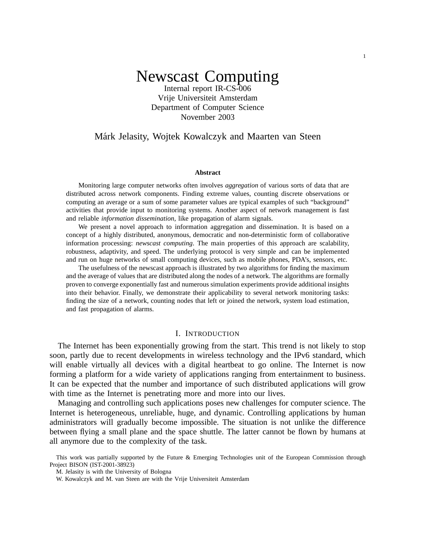# Newscast Computing Internal report IR-CS-006

Vrije Universiteit Amsterdam Department of Computer Science November 2003

# Márk Jelasity, Wojtek Kowalczyk and Maarten van Steen

#### **Abstract**

Monitoring large computer networks often involves *aggregation* of various sorts of data that are distributed across network components. Finding extreme values, counting discrete observations or computing an average or a sum of some parameter values are typical examples of such "background" activities that provide input to monitoring systems. Another aspect of network management is fast and reliable *information dissemination*, like propagation of alarm signals.

We present a novel approach to information aggregation and dissemination. It is based on a concept of a highly distributed, anonymous, democratic and non-deterministic form of collaborative information processing: *newscast computing*. The main properties of this approach are scalability, robustness, adaptivity, and speed. The underlying protocol is very simple and can be implemented and run on huge networks of small computing devices, such as mobile phones, PDA's, sensors, etc.

The usefulness of the newscast approach is illustrated by two algorithms for finding the maximum and the average of values that are distributed along the nodes of a network. The algorithms are formally proven to converge exponentially fast and numerous simulation experiments provide additional insights into their behavior. Finally, we demonstrate their applicability to several network monitoring tasks: finding the size of a network, counting nodes that left or joined the network, system load estimation, and fast propagation of alarms.

# I. INTRODUCTION

The Internet has been exponentially growing from the start. This trend is not likely to stop soon, partly due to recent developments in wireless technology and the IPv6 standard, which will enable virtually all devices with a digital heartbeat to go online. The Internet is now forming a platform for a wide variety of applications ranging from entertainment to business. It can be expected that the number and importance of such distributed applications will grow with time as the Internet is penetrating more and more into our lives.

Managing and controlling such applications poses new challenges for computer science. The Internet is heterogeneous, unreliable, huge, and dynamic. Controlling applications by human administrators will gradually become impossible. The situation is not unlike the difference between flying a small plane and the space shuttle. The latter cannot be flown by humans at all anymore due to the complexity of the task.

This work was partially supported by the Future & Emerging Technologies unit of the European Commission through Project BISON (IST-2001-38923)

M. Jelasity is with the University of Bologna

W. Kowalczyk and M. van Steen are with the Vrije Universiteit Amsterdam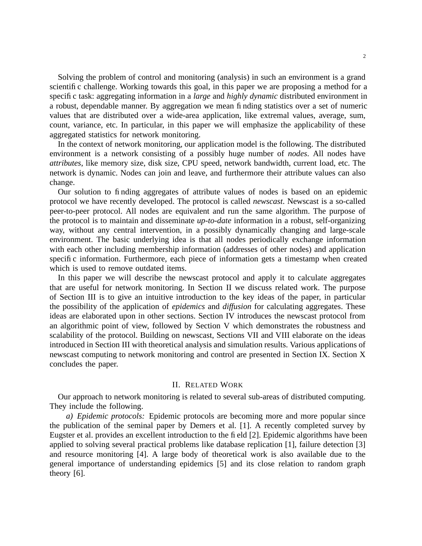Solving the problem of control and monitoring (analysis) in such an environment is a grand scientific challenge. Working towards this goal, in this paper we are proposing a method for a specific task: aggregating information in a *large* and *highly dynamic* distributed environment in a robust, dependable manner. By aggregation we mean finding statistics over a set of numeric values that are distributed over a wide-area application, like extremal values, average, sum, count, variance, etc. In particular, in this paper we will emphasize the applicability of these aggregated statistics for network monitoring.

In the context of network monitoring, our application model is the following. The distributed environment is a network consisting of a possibly huge number of *nodes*. All nodes have *attributes*, like memory size, disk size, CPU speed, network bandwidth, current load, etc. The network is dynamic. Nodes can join and leave, and furthermore their attribute values can also change.

Our solution to finding aggregates of attribute values of nodes is based on an epidemic protocol we have recently developed. The protocol is called *newscast*. Newscast is a so-called peer-to-peer protocol. All nodes are equivalent and run the same algorithm. The purpose of the protocol is to maintain and disseminate *up-to-date* information in a robust, self-organizing way, without any central intervention, in a possibly dynamically changing and large-scale environment. The basic underlying idea is that all nodes periodically exchange information with each other including membership information (addresses of other nodes) and application specific information. Furthermore, each piece of information gets a timestamp when created which is used to remove outdated items.

In this paper we will describe the newscast protocol and apply it to calculate aggregates that are useful for network monitoring. In Section II we discuss related work. The purpose of Section III is to give an intuitive introduction to the key ideas of the paper, in particular the possibility of the application of *epidemics* and *diffusion* for calculating aggregates. These ideas are elaborated upon in other sections. Section IV introduces the newscast protocol from an algorithmic point of view, followed by Section V which demonstrates the robustness and scalability of the protocol. Building on newscast, Sections VII and VIII elaborate on the ideas introduced in Section III with theoretical analysis and simulation results. Various applications of newscast computing to network monitoring and control are presented in Section IX. Section X concludes the paper.

# II. RELATED WORK

Our approach to network monitoring is related to several sub-areas of distributed computing. They include the following.

*a) Epidemic protocols:* Epidemic protocols are becoming more and more popular since the publication of the seminal paper by Demers et al. [1]. A recently completed survey by Eugster et al. provides an excellent introduction to the field [2]. Epidemic algorithms have been applied to solving several practical problems like database replication [1], failure detection [3] and resource monitoring [4]. A large body of theoretical work is also available due to the general importance of understanding epidemics [5] and its close relation to random graph theory [6].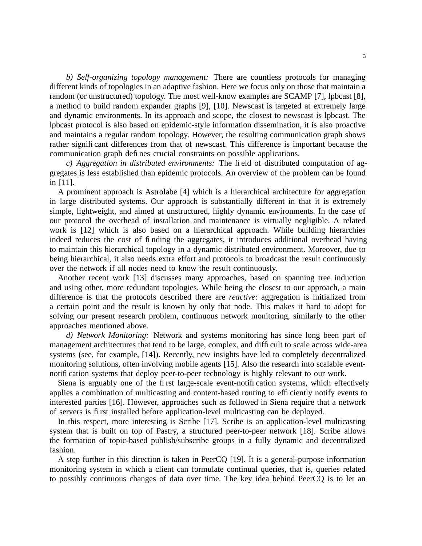*b) Self-organizing topology management:* There are countless protocols for managing different kinds of topologies in an adaptive fashion. Here we focus only on those that maintain a random (or unstructured) topology. The most well-know examples are SCAMP [7], lpbcast [8], a method to build random expander graphs [9], [10]. Newscast is targeted at extremely large and dynamic environments. In its approach and scope, the closest to newscast is lpbcast. The lpbcast protocol is also based on epidemic-style information dissemination, it is also proactive and maintains a regular random topology. However, the resulting communication graph shows rather significant differences from that of newscast. This difference is important because the communication graph defines crucial constraints on possible applications.

*c) Aggregation in distributed environments:* The field of distributed computation of aggregates is less established than epidemic protocols. An overview of the problem can be found in [11].

A prominent approach is Astrolabe [4] which is a hierarchical architecture for aggregation in large distributed systems. Our approach is substantially different in that it is extremely simple, lightweight, and aimed at unstructured, highly dynamic environments. In the case of our protocol the overhead of installation and maintenance is virtually negligible. A related work is [12] which is also based on a hierarchical approach. While building hierarchies indeed reduces the cost of finding the aggregates, it introduces additional overhead having to maintain this hierarchical topology in a dynamic distributed environment. Moreover, due to being hierarchical, it also needs extra effort and protocols to broadcast the result continuously over the network if all nodes need to know the result continuously.

Another recent work [13] discusses many approaches, based on spanning tree induction and using other, more redundant topologies. While being the closest to our approach, a main difference is that the protocols described there are *reactive*: aggregation is initialized from a certain point and the result is known by only that node. This makes it hard to adopt for solving our present research problem, continuous network monitoring, similarly to the other approaches mentioned above.

*d) Network Monitoring:* Network and systems monitoring has since long been part of management architectures that tend to be large, complex, and difficult to scale across wide-area systems (see, for example, [14]). Recently, new insights have led to completely decentralized monitoring solutions, often involving mobile agents [15]. Also the research into scalable eventnotification systems that deploy peer-to-peer technology is highly relevant to our work.

Siena is arguably one of the first large-scale event-notification systems, which effectively applies a combination of multicasting and content-based routing to efficiently notify events to interested parties [16]. However, approaches such as followed in Siena require that a network of servers is first installed before application-level multicasting can be deployed.

In this respect, more interesting is Scribe [17]. Scribe is an application-level multicasting system that is built on top of Pastry, a structured peer-to-peer network [18]. Scribe allows the formation of topic-based publish/subscribe groups in a fully dynamic and decentralized fashion.

A step further in this direction is taken in PeerCQ [19]. It is a general-purpose information monitoring system in which a client can formulate continual queries, that is, queries related to possibly continuous changes of data over time. The key idea behind PeerCQ is to let an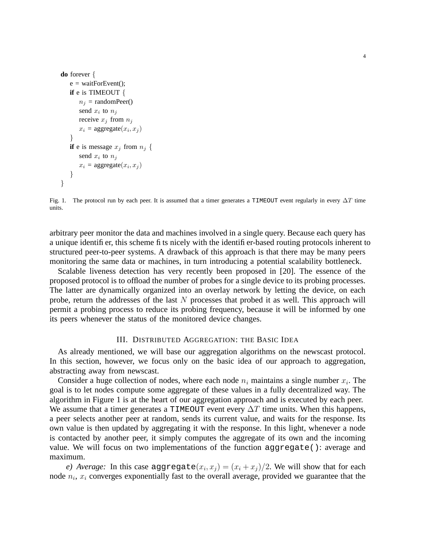```
do forever {
   e = \text{waitForEvent};
   if e is TIMEOUT {
       n_i = randomPeer()
       send x_i to n_jreceive x_i from n_ix_i = \text{aggregate}(x_i, x_j)}
   if e is message x_i from n_i {
       send x_i to n_jx_i = \text{aggregate}(x_i, x_j)}
}
```
Fig. 1. The protocol run by each peer. It is assumed that a timer generates a TIMEOUT event regularly in every  $\Delta T$  time units.

arbitrary peer monitor the data and machines involved in a single query. Because each query has a unique identifier, this scheme fits nicely with the identifier-based routing protocols inherent to structured peer-to-peer systems. A drawback of this approach is that there may be many peers monitoring the same data or machines, in turn introducing a potential scalability bottleneck.

Scalable liveness detection has very recently been proposed in [20]. The essence of the proposed protocol is to offload the number of probes for a single device to its probing processes. The latter are dynamically organized into an overlay network by letting the device, on each probe, return the addresses of the last N processes that probed it as well. This approach will permit a probing process to reduce its probing frequency, because it will be informed by one its peers whenever the status of the monitored device changes.

## III. DISTRIBUTED AGGREGATION: THE BASIC IDEA

As already mentioned, we will base our aggregation algorithms on the newscast protocol. In this section, however, we focus only on the basic idea of our approach to aggregation, abstracting away from newscast.

Consider a huge collection of nodes, where each node  $n_i$  maintains a single number  $x_i$ . The goal is to let nodes compute some aggregate of these values in a fully decentralized way. The algorithm in Figure 1 is at the heart of our aggregation approach and is executed by each peer. We assume that a timer generates a TIMEOUT event every  $\Delta T$  time units. When this happens, a peer selects another peer at random, sends its current value, and waits for the response. Its own value is then updated by aggregating it with the response. In this light, whenever a node is contacted by another peer, it simply computes the aggregate of its own and the incoming value. We will focus on two implementations of the function aggregate(): average and maximum.

*e)* Average: In this case aggregate $(x_i, x_j) = (x_i + x_j)/2$ . We will show that for each node  $n_i$ ,  $x_i$  converges exponentially fast to the overall average, provided we guarantee that the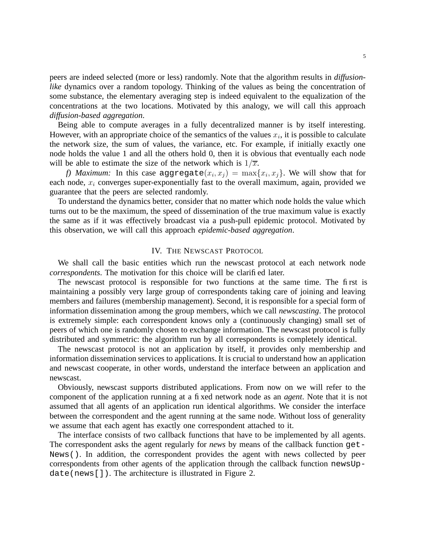peers are indeed selected (more or less) randomly. Note that the algorithm results in *diffusionlike* dynamics over a random topology. Thinking of the values as being the concentration of some substance, the elementary averaging step is indeed equivalent to the equalization of the concentrations at the two locations. Motivated by this analogy, we will call this approach *diffusion-based aggregation*.

Being able to compute averages in a fully decentralized manner is by itself interesting. However, with an appropriate choice of the semantics of the values  $x_i$ , it is possible to calculate the network size, the sum of values, the variance, etc. For example, if initially exactly one node holds the value 1 and all the others hold 0, then it is obvious that eventually each node will be able to estimate the size of the network which is  $1/\overline{x}$ .

*f) Maximum*: In this case aggregate $(x_i, x_j) = \max\{x_i, x_j\}$ . We will show that for each node,  $x_i$  converges super-exponentially fast to the overall maximum, again, provided we guarantee that the peers are selected randomly.

To understand the dynamics better, consider that no matter which node holds the value which turns out to be the maximum, the speed of dissemination of the true maximum value is exactly the same as if it was effectively broadcast via a push-pull epidemic protocol. Motivated by this observation, we will call this approach *epidemic-based aggregation*.

# IV. THE NEWSCAST PROTOCOL

We shall call the basic entities which run the newscast protocol at each network node *correspondents*. The motivation for this choice will be clarified later.

The newscast protocol is responsible for two functions at the same time. The first is maintaining a possibly very large group of correspondents taking care of joining and leaving members and failures (membership management). Second, it is responsible for a special form of information dissemination among the group members, which we call *newscasting*. The protocol is extremely simple: each correspondent knows only a (continuously changing) small set of peers of which one is randomly chosen to exchange information. The newscast protocol is fully distributed and symmetric: the algorithm run by all correspondents is completely identical.

The newscast protocol is not an application by itself, it provides only membership and information dissemination services to applications. It is crucial to understand how an application and newscast cooperate, in other words, understand the interface between an application and newscast.

Obviously, newscast supports distributed applications. From now on we will refer to the component of the application running at a fixed network node as an *agent*. Note that it is not assumed that all agents of an application run identical algorithms. We consider the interface between the correspondent and the agent running at the same node. Without loss of generality we assume that each agent has exactly one correspondent attached to it.

The interface consists of two callback functions that have to be implemented by all agents. The correspondent asks the agent regularly for *news* by means of the callback function get-News(). In addition, the correspondent provides the agent with news collected by peer correspondents from other agents of the application through the callback function newsUpdate(news[]). The architecture is illustrated in Figure 2.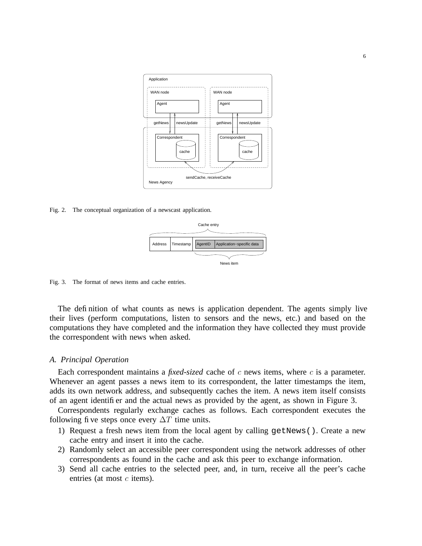

Fig. 2. The conceptual organization of a newscast application.



Fig. 3. The format of news items and cache entries.

The definition of what counts as news is application dependent. The agents simply live their lives (perform computations, listen to sensors and the news, etc.) and based on the computations they have completed and the information they have collected they must provide the correspondent with news when asked.

## *A. Principal Operation*

Each correspondent maintains a *fixed-sized* cache of  $c$  news items, where  $c$  is a parameter. Whenever an agent passes a news item to its correspondent, the latter timestamps the item, adds its own network address, and subsequently caches the item. A news item itself consists of an agent identifier and the actual news as provided by the agent, as shown in Figure 3.

Correspondents regularly exchange caches as follows. Each correspondent executes the following five steps once every  $\Delta T$  time units.

- 1) Request a fresh news item from the local agent by calling getNews(). Create a new cache entry and insert it into the cache.
- 2) Randomly select an accessible peer correspondent using the network addresses of other correspondents as found in the cache and ask this peer to exchange information.
- 3) Send all cache entries to the selected peer, and, in turn, receive all the peer's cache entries (at most c items).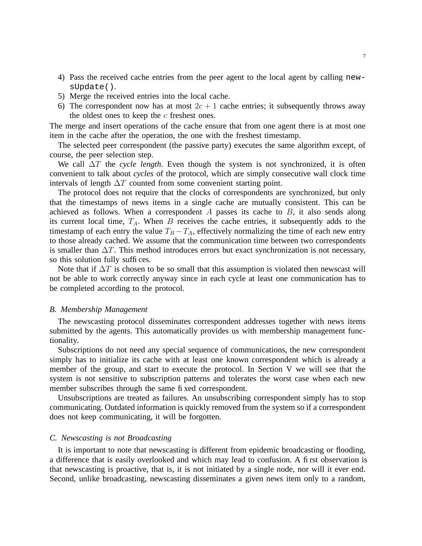- 4) Pass the received cache entries from the peer agent to the local agent by calling newsUpdate().
- 5) Merge the received entries into the local cache.
- 6) The correspondent now has at most  $2c + 1$  cache entries; it subsequently throws away the oldest ones to keep the  $c$  freshest ones.

The merge and insert operations of the cache ensure that from one agent there is at most one item in the cache after the operation, the one with the freshest timestamp.

The selected peer correspondent (the passive party) executes the same algorithm except, of course, the peer selection step.

We call ∆T the *cycle length*. Even though the system is not synchronized, it is often convenient to talk about *cycles* of the protocol, which are simply consecutive wall clock time intervals of length  $\Delta T$  counted from some convenient starting point.

The protocol does not require that the clocks of correspondents are synchronized, but only that the timestamps of news items in a single cache are mutually consistent. This can be achieved as follows. When a correspondent  $A$  passes its cache to  $B$ , it also sends along its current local time,  $T_A$ . When B receives the cache entries, it subsequently adds to the timestamp of each entry the value  $T_B - T_A$ , effectively normalizing the time of each new entry to those already cached. We assume that the communication time between two correspondents is smaller than  $\Delta T$ . This method introduces errors but exact synchronization is not necessary, so this solution fully suffices.

Note that if  $\Delta T$  is chosen to be so small that this assumption is violated then newscast will not be able to work correctly anyway since in each cycle at least one communication has to be completed according to the protocol.

## *B. Membership Management*

The newscasting protocol disseminates correspondent addresses together with news items submitted by the agents. This automatically provides us with membership management functionality.

Subscriptions do not need any special sequence of communications, the new correspondent simply has to initialize its cache with at least one known correspondent which is already a member of the group, and start to execute the protocol. In Section V we will see that the system is not sensitive to subscription patterns and tolerates the worst case when each new member subscribes through the same fixed correspondent.

Unsubscriptions are treated as failures. An unsubscribing correspondent simply has to stop communicating. Outdated information is quickly removed from the system so if a correspondent does not keep communicating, it will be forgotten.

## *C. Newscasting is not Broadcasting*

It is important to note that newscasting is different from epidemic broadcasting or flooding, a difference that is easily overlooked and which may lead to confusion. A first observation is that newscasting is proactive, that is, it is not initiated by a single node, nor will it ever end. Second, unlike broadcasting, newscasting disseminates a given news item only to a random,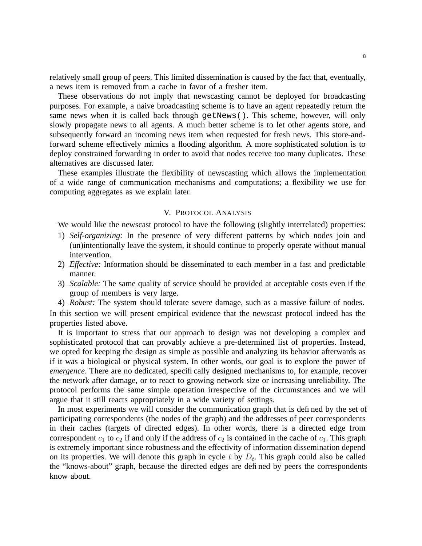relatively small group of peers. This limited dissemination is caused by the fact that, eventually, a news item is removed from a cache in favor of a fresher item.

These observations do not imply that newscasting cannot be deployed for broadcasting purposes. For example, a naive broadcasting scheme is to have an agent repeatedly return the same news when it is called back through getNews(). This scheme, however, will only slowly propagate news to all agents. A much better scheme is to let other agents store, and subsequently forward an incoming news item when requested for fresh news. This store-andforward scheme effectively mimics a flooding algorithm. A more sophisticated solution is to deploy constrained forwarding in order to avoid that nodes receive too many duplicates. These alternatives are discussed later.

These examples illustrate the flexibility of newscasting which allows the implementation of a wide range of communication mechanisms and computations; a flexibility we use for computing aggregates as we explain later.

# V. PROTOCOL ANALYSIS

We would like the newscast protocol to have the following (slightly interrelated) properties:

- 1) *Self-organizing:* In the presence of very different patterns by which nodes join and (un)intentionally leave the system, it should continue to properly operate without manual intervention.
- 2) *Effective:* Information should be disseminated to each member in a fast and predictable manner.
- 3) *Scalable:* The same quality of service should be provided at acceptable costs even if the group of members is very large.
- 4) *Robust:* The system should tolerate severe damage, such as a massive failure of nodes.

In this section we will present empirical evidence that the newscast protocol indeed has the properties listed above.

It is important to stress that our approach to design was not developing a complex and sophisticated protocol that can provably achieve a pre-determined list of properties. Instead, we opted for keeping the design as simple as possible and analyzing its behavior afterwards as if it was a biological or physical system. In other words, our goal is to explore the power of *emergence*. There are no dedicated, specifically designed mechanisms to, for example, recover the network after damage, or to react to growing network size or increasing unreliability. The protocol performs the same simple operation irrespective of the circumstances and we will argue that it still reacts appropriately in a wide variety of settings.

In most experiments we will consider the communication graph that is defined by the set of participating correspondents (the nodes of the graph) and the addresses of peer correspondents in their caches (targets of directed edges). In other words, there is a directed edge from correspondent  $c_1$  to  $c_2$  if and only if the address of  $c_2$  is contained in the cache of  $c_1$ . This graph is extremely important since robustness and the effectivity of information dissemination depend on its properties. We will denote this graph in cycle  $t$  by  $D_t$ . This graph could also be called the "knows-about" graph, because the directed edges are defined by peers the correspondents know about.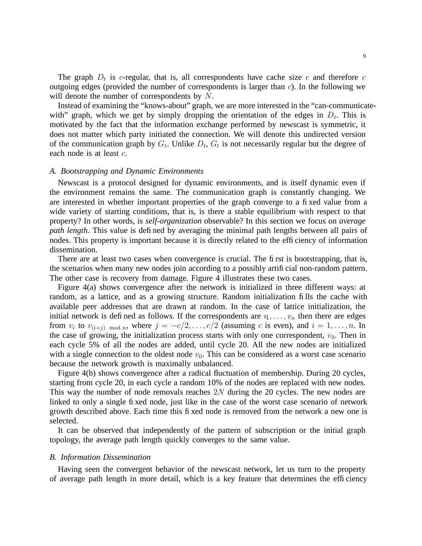The graph  $D_t$  is c-regular, that is, all correspondents have cache size c and therefore c outgoing edges (provided the number of correspondents is larger than c). In the following we will denote the number of correspondents by N.

Instead of examining the "knows-about" graph, we are more interested in the "can-communicatewith" graph, which we get by simply dropping the orientation of the edges in  $D_t$ . This is motivated by the fact that the information exchange performed by newscast is symmetric, it does not matter which party initiated the connection. We will denote this undirected version of the communication graph by  $G_t$ . Unlike  $D_t$ ,  $G_t$  is not necessarily regular but the degree of each node is at least c.

## *A. Bootstrapping and Dynamic Environments*

Newscast is a protocol designed for dynamic environments, and is itself dynamic even if the environment remains the same. The communication graph is constantly changing. We are interested in whether important properties of the graph converge to a fixed value from a wide variety of starting conditions, that is, is there a stable equilibrium with respect to that property? In other words, is *self-organization* observable? In this section we focus on *average path length*. This value is defined by averaging the minimal path lengths between all pairs of nodes. This property is important because it is directly related to the efficiency of information dissemination.

There are at least two cases when convergence is crucial. The first is bootstrapping, that is, the scenarios when many new nodes join according to a possibly artificial non-random pattern. The other case is recovery from damage. Figure 4 illustrates these two cases.

Figure 4(a) shows convergence after the network is initialized in three different ways: at random, as a lattice, and as a growing structure. Random initialization fills the cache with available peer addresses that are drawn at random. In the case of lattice initialization, the initial network is defined as follows. If the correspondents are  $v_1, \ldots, v_n$  then there are edges from  $v_i$  to  $v_{(i+j) \mod n}$ , where  $j = -c/2, \ldots, c/2$  (assuming c is even), and  $i = 1, \ldots, n$ . In the case of growing, the initialization process starts with only one correspondent,  $v_0$ . Then in each cycle 5% of all the nodes are added, until cycle 20. All the new nodes are initialized with a single connection to the oldest node  $v_0$ . This can be considered as a worst case scenario because the network growth is maximally unbalanced.

Figure 4(b) shows convergence after a radical fluctuation of membership. During 20 cycles, starting from cycle 20, in each cycle a random 10% of the nodes are replaced with new nodes. This way the number of node removals reaches  $2N$  during the 20 cycles. The new nodes are linked to only a single fixed node, just like in the case of the worst case scenario of network growth described above. Each time this fixed node is removed from the network a new one is selected.

It can be observed that independently of the pattern of subscription or the initial graph topology, the average path length quickly converges to the same value.

#### *B. Information Dissemination*

Having seen the convergent behavior of the newscast network, let us turn to the property of average path length in more detail, which is a key feature that determines the efficiency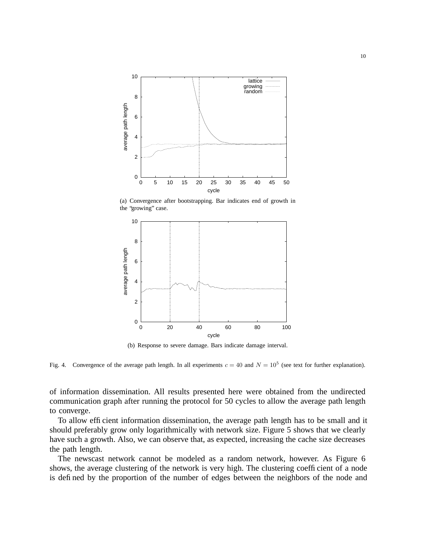

(a) Convergence after bootstrapping. Bar indicates end of growth in the "growing" case.



(b) Response to severe damage. Bars indicate damage interval.

Fig. 4. Convergence of the average path length. In all experiments  $c = 40$  and  $N = 10^5$  (see text for further explanation).

of information dissemination. All results presented here were obtained from the undirected communication graph after running the protocol for 50 cycles to allow the average path length to converge.

To allow efficient information dissemination, the average path length has to be small and it should preferably grow only logarithmically with network size. Figure 5 shows that we clearly have such a growth. Also, we can observe that, as expected, increasing the cache size decreases the path length.

The newscast network cannot be modeled as a random network, however. As Figure 6 shows, the average clustering of the network is very high. The clustering coefficient of a node is defined by the proportion of the number of edges between the neighbors of the node and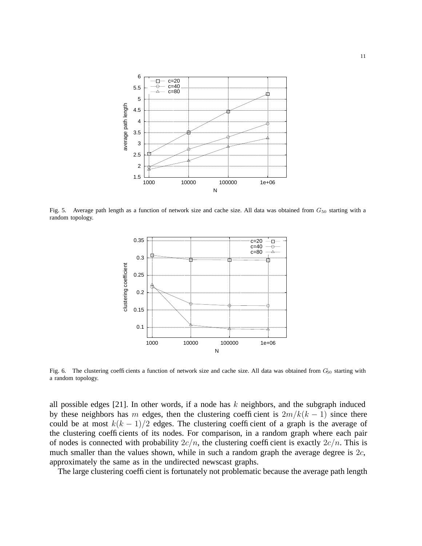

Fig. 5. Average path length as a function of network size and cache size. All data was obtained from  $G_{50}$  starting with a random topology.



Fig. 6. The clustering coefficients a function of network size and cache size. All data was obtained from  $G_{50}$  starting with a random topology.

all possible edges [21]. In other words, if a node has  $k$  neighbors, and the subgraph induced by these neighbors has m edges, then the clustering coefficient is  $2m/k(k - 1)$  since there could be at most  $k(k - 1)/2$  edges. The clustering coefficient of a graph is the average of the clustering coefficients of its nodes. For comparison, in a random graph where each pair of nodes is connected with probability  $2c/n$ , the clustering coefficient is exactly  $2c/n$ . This is much smaller than the values shown, while in such a random graph the average degree is 2c, approximately the same as in the undirected newscast graphs.

The large clustering coefficient is fortunately not problematic because the average path length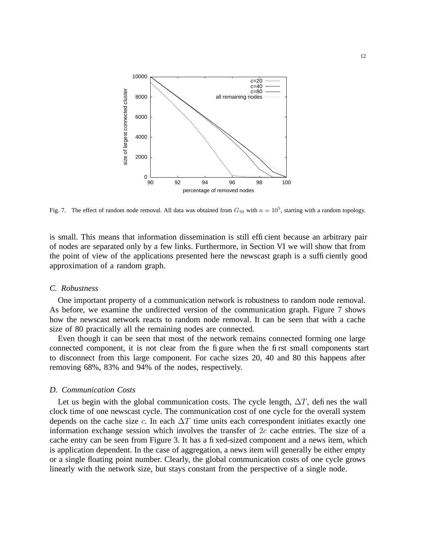

Fig. 7. The effect of random node removal. All data was obtained from  $G_{50}$  with  $n = 10^5$ , starting with a random topology.

is small. This means that information dissemination is still efficient because an arbitrary pair of nodes are separated only by a few links. Furthermore, in Section VI we will show that from the point of view of the applications presented here the newscast graph is a sufficiently good approximation of a random graph.

# *C. Robustness*

One important property of a communication network is robustness to random node removal. As before, we examine the undirected version of the communication graph. Figure 7 shows how the newscast network reacts to random node removal. It can be seen that with a cache size of 80 practically all the remaining nodes are connected.

Even though it can be seen that most of the network remains connected forming one large connected component, it is not clear from the figure when the first small components start to disconnect from this large component. For cache sizes 20, 40 and 80 this happens after removing 68%, 83% and 94% of the nodes, respectively.

## *D. Communication Costs*

Let us begin with the global communication costs. The cycle length,  $\Delta T$ , defines the wall clock time of one newscast cycle. The communication cost of one cycle for the overall system depends on the cache size c. In each  $\Delta T$  time units each correspondent initiates exactly one information exchange session which involves the transfer of 2c cache entries. The size of a cache entry can be seen from Figure 3. It has a fixed-sized component and a news item, which is application dependent. In the case of aggregation, a news item will generally be either empty or a single floating point number. Clearly, the global communication costs of one cycle grows linearly with the network size, but stays constant from the perspective of a single node.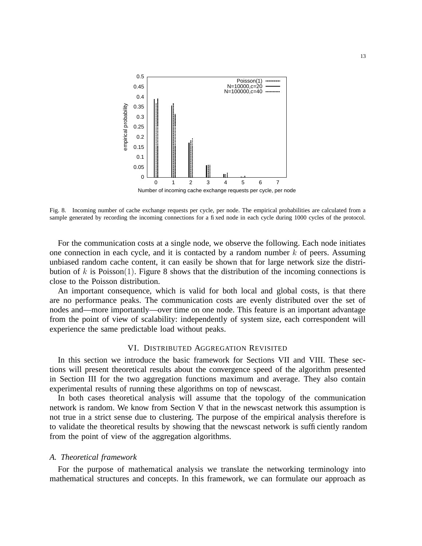

Fig. 8. Incoming number of cache exchange requests per cycle, per node. The empirical probabilities are calculated from a sample generated by recording the incoming connections for a fixed node in each cycle during 1000 cycles of the protocol.

For the communication costs at a single node, we observe the following. Each node initiates one connection in each cycle, and it is contacted by a random number  $k$  of peers. Assuming unbiased random cache content, it can easily be shown that for large network size the distribution of k is Poisson(1). Figure 8 shows that the distribution of the incoming connections is close to the Poisson distribution.

An important consequence, which is valid for both local and global costs, is that there are no performance peaks. The communication costs are evenly distributed over the set of nodes and—more importantly—over time on one node. This feature is an important advantage from the point of view of scalability: independently of system size, each correspondent will experience the same predictable load without peaks.

#### VI. DISTRIBUTED AGGREGATION REVISITED

In this section we introduce the basic framework for Sections VII and VIII. These sections will present theoretical results about the convergence speed of the algorithm presented in Section III for the two aggregation functions maximum and average. They also contain experimental results of running these algorithms on top of newscast.

In both cases theoretical analysis will assume that the topology of the communication network is random. We know from Section V that in the newscast network this assumption is not true in a strict sense due to clustering. The purpose of the empirical analysis therefore is to validate the theoretical results by showing that the newscast network is sufficiently random from the point of view of the aggregation algorithms.

## *A. Theoretical framework*

For the purpose of mathematical analysis we translate the networking terminology into mathematical structures and concepts. In this framework, we can formulate our approach as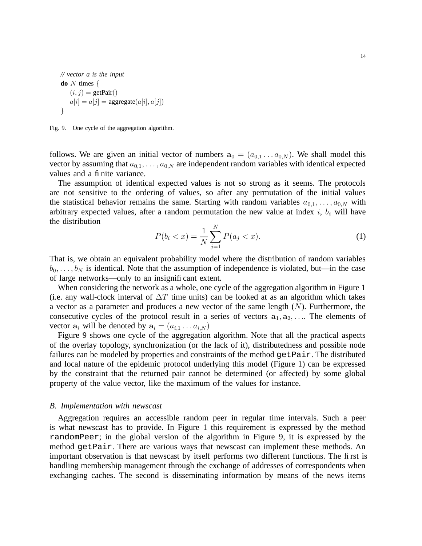```
// vector a is the input
do N times \{(i, j) = getPair()a[i] = a[j] = aggregate(a[i], a[j])}
```
Fig. 9. One cycle of the aggregation algorithm.

follows. We are given an initial vector of numbers  $\mathbf{a}_0 = (a_{0,1} \dots a_{0,N})$ . We shall model this vector by assuming that  $a_{0,1}, \ldots, a_{0,N}$  are independent random variables with identical expected values and a finite variance.

The assumption of identical expected values is not so strong as it seems. The protocols are not sensitive to the ordering of values, so after any permutation of the initial values the statistical behavior remains the same. Starting with random variables  $a_{0,1}, \ldots, a_{0,N}$  with arbitrary expected values, after a random permutation the new value at index  $i$ ,  $b_i$  will have the distribution

$$
P(b_i < x) = \frac{1}{N} \sum_{j=1}^{N} P(a_j < x). \tag{1}
$$

That is, we obtain an equivalent probability model where the distribution of random variables  $b_0, \ldots, b_N$  is identical. Note that the assumption of independence is violated, but—in the case of large networks—only to an insignificant extent.

When considering the network as a whole, one cycle of the aggregation algorithm in Figure 1 (i.e. any wall-clock interval of  $\Delta T$  time units) can be looked at as an algorithm which takes a vector as a parameter and produces a new vector of the same length  $(N)$ . Furthermore, the consecutive cycles of the protocol result in a series of vectors  $a_1, a_2, \ldots$ . The elements of vector  $\mathbf{a}_i$  will be denoted by  $\mathbf{a}_i = (a_{i,1} \dots a_{i,N})$ 

Figure 9 shows one cycle of the aggregation algorithm. Note that all the practical aspects of the overlay topology, synchronization (or the lack of it), distributedness and possible node failures can be modeled by properties and constraints of the method get Pair. The distributed and local nature of the epidemic protocol underlying this model (Figure 1) can be expressed by the constraint that the returned pair cannot be determined (or affected) by some global property of the value vector, like the maximum of the values for instance.

## *B. Implementation with newscast*

Aggregation requires an accessible random peer in regular time intervals. Such a peer is what newscast has to provide. In Figure 1 this requirement is expressed by the method randomPeer; in the global version of the algorithm in Figure 9, it is expressed by the method getPair. There are various ways that newscast can implement these methods. An important observation is that newscast by itself performs two different functions. The first is handling membership management through the exchange of addresses of correspondents when exchanging caches. The second is disseminating information by means of the news items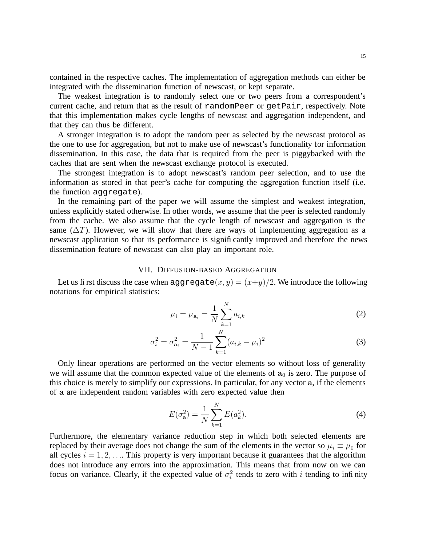contained in the respective caches. The implementation of aggregation methods can either be integrated with the dissemination function of newscast, or kept separate.

The weakest integration is to randomly select one or two peers from a correspondent's current cache, and return that as the result of randomPeer or getPair, respectively. Note that this implementation makes cycle lengths of newscast and aggregation independent, and that they can thus be different.

A stronger integration is to adopt the random peer as selected by the newscast protocol as the one to use for aggregation, but not to make use of newscast's functionality for information dissemination. In this case, the data that is required from the peer is piggybacked with the caches that are sent when the newscast exchange protocol is executed.

The strongest integration is to adopt newscast's random peer selection, and to use the information as stored in that peer's cache for computing the aggregation function itself (i.e. the function aggregate).

In the remaining part of the paper we will assume the simplest and weakest integration, unless explicitly stated otherwise. In other words, we assume that the peer is selected randomly from the cache. We also assume that the cycle length of newscast and aggregation is the same ( $\Delta T$ ). However, we will show that there are ways of implementing aggregation as a newscast application so that its performance is significantly improved and therefore the news dissemination feature of newscast can also play an important role.

# VII. DIFFUSION-BASED AGGREGATION

Let us first discuss the case when aggregate $(x, y) = (x+y)/2$ . We introduce the following notations for empirical statistics:

$$
\mu_i = \mu_{\mathbf{a}_i} = \frac{1}{N} \sum_{k=1}^{N} a_{i,k} \tag{2}
$$

$$
\sigma_i^2 = \sigma_{\mathbf{a}_i}^2 = \frac{1}{N-1} \sum_{k=1}^N (a_{i,k} - \mu_i)^2
$$
 (3)

Only linear operations are performed on the vector elements so without loss of generality we will assume that the common expected value of the elements of  $a_0$  is zero. The purpose of this choice is merely to simplify our expressions. In particular, for any vector a, if the elements of a are independent random variables with zero expected value then

$$
E(\sigma_{\mathbf{a}}^2) = \frac{1}{N} \sum_{k=1}^{N} E(a_k^2).
$$
 (4)

Furthermore, the elementary variance reduction step in which both selected elements are replaced by their average does not change the sum of the elements in the vector so  $\mu_i \equiv \mu_0$  for all cycles  $i = 1, 2, \ldots$  This property is very important because it guarantees that the algorithm does not introduce any errors into the approximation. This means that from now on we can focus on variance. Clearly, if the expected value of  $\sigma_i^2$  tends to zero with i tending to infinity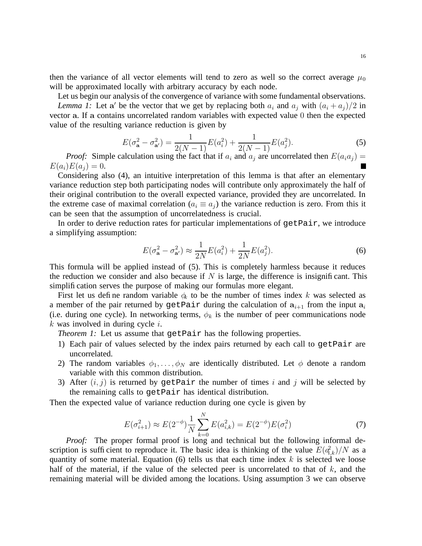then the variance of all vector elements will tend to zero as well so the correct average  $\mu_0$ will be approximated locally with arbitrary accuracy by each node.

Let us begin our analysis of the convergence of variance with some fundamental observations.

*Lemma 1*: Let a' be the vector that we get by replacing both  $a_i$  and  $a_j$  with  $(a_i + a_j)/2$  in vector a. If a contains uncorrelated random variables with expected value 0 then the expected value of the resulting variance reduction is given by

$$
E(\sigma_{\mathbf{a}}^2 - \sigma_{\mathbf{a'}}^2) = \frac{1}{2(N-1)}E(a_i^2) + \frac{1}{2(N-1)}E(a_j^2).
$$
\n(5)

\nclubting gives the fact that if  $a_i$  and  $b_j$  are very small, then  $E(a_j)$ .

*Proof:* Simple calculation using the fact that if  $a_i$  and  $a_j$  are uncorrelated then  $E(a_ia_j)$  =  $E(a_i)E(a_j) = 0.$ 

Considering also (4), an intuitive interpretation of this lemma is that after an elementary variance reduction step both participating nodes will contribute only approximately the half of their original contribution to the overall expected variance, provided they are uncorrelated. In the extreme case of maximal correlation ( $a_i \equiv a_j$ ) the variance reduction is zero. From this it can be seen that the assumption of uncorrelatedness is crucial.

In order to derive reduction rates for particular implementations of  $getPair$ , we introduce a simplifying assumption:

$$
E(\sigma_{\mathbf{a}}^2 - \sigma_{\mathbf{a}'}^2) \approx \frac{1}{2N} E(a_i^2) + \frac{1}{2N} E(a_j^2).
$$
 (6)

This formula will be applied instead of (5). This is completely harmless because it reduces the reduction we consider and also because if  $N$  is large, the difference is insignificant. This simplification serves the purpose of making our formulas more elegant.

First let us define random variable  $\phi_k$  to be the number of times index k was selected as a member of the pair returned by getPair during the calculation of  $a_{i+1}$  from the input  $a_i$ (i.e. during one cycle). In networking terms,  $\phi_k$  is the number of peer communications node  $k$  was involved in during cycle  $i$ .

*Theorem 1:* Let us assume that getPair has the following properties.

- 1) Each pair of values selected by the index pairs returned by each call to getPair are uncorrelated.
- 2) The random variables  $\phi_1, \ldots, \phi_N$  are identically distributed. Let  $\phi$  denote a random variable with this common distribution.
- 3) After  $(i, j)$  is returned by getPair the number of times i and j will be selected by the remaining calls to getPair has identical distribution.

Then the expected value of variance reduction during one cycle is given by

$$
E(\sigma_{i+1}^2) \approx E(2^{-\phi}) \frac{1}{N} \sum_{k=0}^{N} E(a_{i,k}^2) = E(2^{-\phi}) E(\sigma_i^2)
$$
 (7)

*Proof:* The proper formal proof is long and technical but the following informal description is sufficient to reproduce it. The basic idea is thinking of the value  $E(\hat{q}_{i,k})/N$  as a quantity of some material. Equation (6) tells us that each time index  $k$  is selected we loose half of the material, if the value of the selected peer is uncorrelated to that of  $k$ , and the remaining material will be divided among the locations. Using assumption 3 we can observe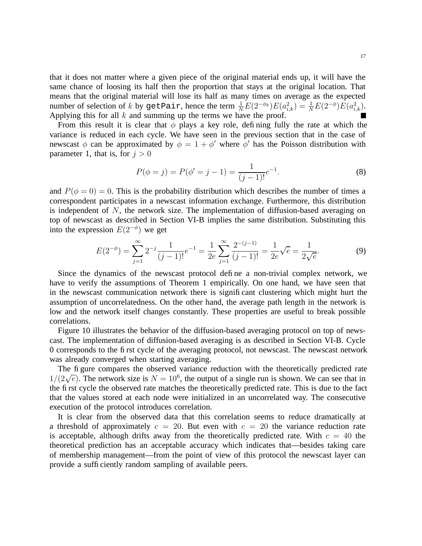that it does not matter where a given piece of the original material ends up, it will have the same chance of loosing its half then the proportion that stays at the original location. That means that the original material will lose its half as many times on average as the expected number of selection of k by getPair, hence the term  $\frac{1}{N}E(2^{-\phi_k})E(a_{i,k}^2) = \frac{1}{N}E(2^{-\phi})\overline{E}(a_{i,k}^2)$ . Applying this for all  $k$  and summing up the terms we have the proof.

From this result it is clear that  $\phi$  plays a key role, defining fully the rate at which the variance is reduced in each cycle. We have seen in the previous section that in the case of newscast  $\phi$  can be approximated by  $\phi = 1 + \phi'$  where  $\phi'$  has the Poisson distribution with parameter 1, that is, for  $j > 0$ 

$$
P(\phi = j) = P(\phi' = j - 1) = \frac{1}{(j - 1)!}e^{-1}.
$$
\n(8)

and  $P(\phi = 0) = 0$ . This is the probability distribution which describes the number of times a correspondent participates in a newscast information exchange. Furthermore, this distribution is independent of  $N$ , the network size. The implementation of diffusion-based averaging on top of newscast as described in Section VI-B implies the same distribution. Substituting this into the expression  $E(2^{-\phi})$  we get

$$
E(2^{-\phi}) = \sum_{j=1}^{\infty} 2^{-j} \frac{1}{(j-1)!} e^{-1} = \frac{1}{2e} \sum_{j=1}^{\infty} \frac{2^{-(j-1)}}{(j-1)!} = \frac{1}{2e} \sqrt{e} = \frac{1}{2\sqrt{e}}.
$$
 (9)

Since the dynamics of the newscast protocol define a non-trivial complex network, we have to verify the assumptions of Theorem 1 empirically. On one hand, we have seen that in the newscast communication network there is significant clustering which might hurt the assumption of uncorrelatedness. On the other hand, the average path length in the network is low and the network itself changes constantly. These properties are useful to break possible correlations.

Figure 10 illustrates the behavior of the diffusion-based averaging protocol on top of newscast. The implementation of diffusion-based averaging is as described in Section VI-B. Cycle 0 corresponds to the first cycle of the averaging protocol, not newscast. The newscast network was already converged when starting averaging.

The figure compares the observed variance reduction with the theoretically predicted rate  $1/(2\sqrt{e})$ . The network size is  $N = 10^6$ , the output of a single run is shown. We can see that in the first cycle the observed rate matches the theoretically predicted rate. This is due to the fact that the values stored at each node were initialized in an uncorrelated way. The consecutive execution of the protocol introduces correlation.

It is clear from the observed data that this correlation seems to reduce dramatically at a threshold of approximately  $c = 20$ . But even with  $c = 20$  the variance reduction rate is acceptable, although drifts away from the theoretically predicted rate. With  $c = 40$  the theoretical prediction has an acceptable accuracy which indicates that—besides taking care of membership management—from the point of view of this protocol the newscast layer can provide a sufficiently random sampling of available peers.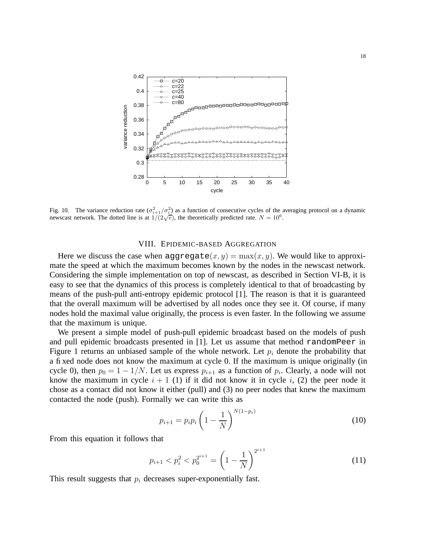

Fig. 10. The variance reduction rate  $(\sigma_{i+1}^2/\sigma_i^2)$  as a function of consecutive cycles of the averaging protocol on a dynamic newscast network. The dotted line is at  $1/(2\sqrt{e})$ , the theoretically predicted rate.  $N = 10^6$ .

## VIII. EPIDEMIC-BASED AGGREGATION

Here we discuss the case when aggregate $(x, y) = \max(x, y)$ . We would like to approximate the speed at which the maximum becomes known by the nodes in the newscast network. Considering the simple implementation on top of newscast, as described in Section VI-B, it is easy to see that the dynamics of this process is completely identical to that of broadcasting by means of the push-pull anti-entropy epidemic protocol [1]. The reason is that it is guaranteed that the overall maximum will be advertised by all nodes once they see it. Of course, if many nodes hold the maximal value originally, the process is even faster. In the following we assume that the maximum is unique.

We present a simple model of push-pull epidemic broadcast based on the models of push and pull epidemic broadcasts presented in [1]. Let us assume that method randomPeer in Figure 1 returns an unbiased sample of the whole network. Let  $p_i$  denote the probability that a fixed node does not know the maximum at cycle 0. If the maximum is unique originally (in cycle 0), then  $p_0 = 1 - 1/N$ . Let us express  $p_{i+1}$  as a function of  $p_i$ . Clearly, a node will not know the maximum in cycle  $i + 1$  (1) if it did not know it in cycle i, (2) the peer node it chose as a contact did not know it either (pull) and (3) no peer nodes that knew the maximum contacted the node (push). Formally we can write this as

$$
p_{i+1} = p_i p_i \left( 1 - \frac{1}{N} \right)^{N(1-p_i)} \tag{10}
$$

From this equation it follows that

$$
p_{i+1} < p_i^2 < p_0^{2^{i+1}} = \left(1 - \frac{1}{N}\right)^{2^{i+1}} \tag{11}
$$

This result suggests that  $p_i$  decreases super-exponentially fast.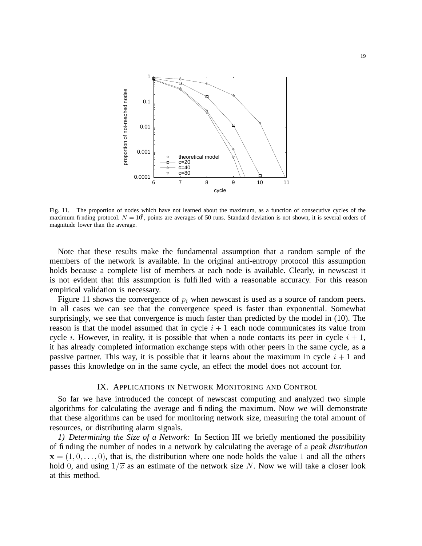

Fig. 11. The proportion of nodes which have not learned about the maximum, as a function of consecutive cycles of the maximum finding protocol.  $N = 10^5$ , points are averages of 50 runs. Standard deviation is not shown, it is several orders of magnitude lower than the average.

Note that these results make the fundamental assumption that a random sample of the members of the network is available. In the original anti-entropy protocol this assumption holds because a complete list of members at each node is available. Clearly, in newscast it is not evident that this assumption is fulfilled with a reasonable accuracy. For this reason empirical validation is necessary.

Figure 11 shows the convergence of  $p_i$  when newscast is used as a source of random peers. In all cases we can see that the convergence speed is faster than exponential. Somewhat surprisingly, we see that convergence is much faster than predicted by the model in (10). The reason is that the model assumed that in cycle  $i + 1$  each node communicates its value from cycle *i*. However, in reality, it is possible that when a node contacts its peer in cycle  $i + 1$ , it has already completed information exchange steps with other peers in the same cycle, as a passive partner. This way, it is possible that it learns about the maximum in cycle  $i + 1$  and passes this knowledge on in the same cycle, an effect the model does not account for.

# IX. APPLICATIONS IN NETWORK MONITORING AND CONTROL

So far we have introduced the concept of newscast computing and analyzed two simple algorithms for calculating the average and finding the maximum. Now we will demonstrate that these algorithms can be used for monitoring network size, measuring the total amount of resources, or distributing alarm signals.

*1) Determining the Size of a Network:* In Section III we briefly mentioned the possibility of finding the number of nodes in a network by calculating the average of a *peak distribution*  $x = (1, 0, \ldots, 0)$ , that is, the distribution where one node holds the value 1 and all the others hold 0, and using  $1/\overline{x}$  as an estimate of the network size N. Now we will take a closer look at this method.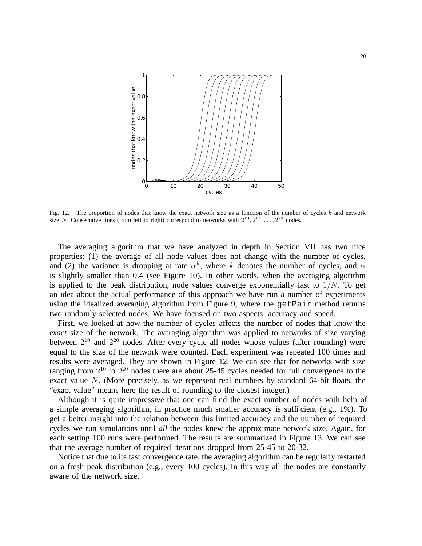

Fig. 12. The proportion of nodes that know the exact network size as a function of the number of cycles  $k$  and network size N. Consecutive lines (from left to right) correspond to networks with  $2^{10}, 2^{11}, \ldots, 2^{20}$  nodes.

The averaging algorithm that we have analyzed in depth in Section VII has two nice properties: (1) the average of all node values does not change with the number of cycles, and (2) the variance is dropping at rate  $\alpha^k$ , where k denotes the number of cycles, and  $\alpha$ is slightly smaller than 0.4 (see Figure 10). In other words, when the averaging algorithm is applied to the peak distribution, node values converge exponentially fast to  $1/N$ . To get an idea about the actual performance of this approach we have run a number of experiments using the idealized averaging algorithm from Figure 9, where the getPair method returns two randomly selected nodes. We have focused on two aspects: accuracy and speed.

First, we looked at how the number of cycles affects the number of nodes that know the *exact* size of the network. The averaging algorithm was applied to networks of size varying between  $2^{10}$  and  $2^{20}$  nodes. After every cycle all nodes whose values (after rounding) were equal to the size of the network were counted. Each experiment was repeated 100 times and results were averaged. They are shown in Figure 12. We can see that for networks with size ranging from  $2^{10}$  to  $2^{20}$  nodes there are about 25-45 cycles needed for full convergence to the exact value N. (More precisely, as we represent real numbers by standard 64-bit floats, the "exact value" means here the result of rounding to the closest integer.)

Although it is quite impressive that one can find the exact number of nodes with help of a simple averaging algorithm, in practice much smaller accuracy is sufficient (e.g., 1%). To get a better insight into the relation between this limited accuracy and the number of required cycles we run simulations until *all* the nodes knew the approximate network size. Again, for each setting 100 runs were performed. The results are summarized in Figure 13. We can see that the average number of required iterations dropped from 25-45 to 20-32.

Notice that due to its fast convergence rate, the averaging algorithm can be regularly restarted on a fresh peak distribution (e.g., every 100 cycles). In this way all the nodes are constantly aware of the network size.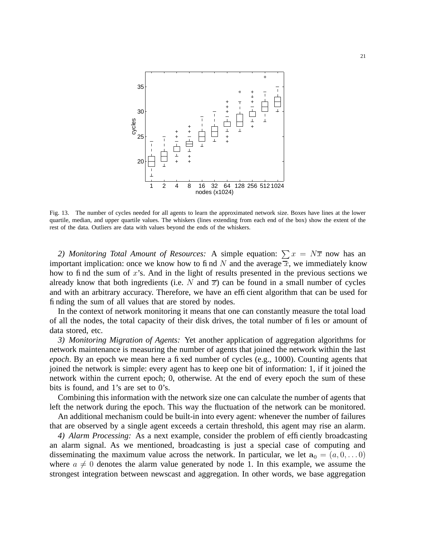

Fig. 13. The number of cycles needed for all agents to learn the approximated network size. Boxes have lines at the lower quartile, median, and upper quartile values. The whiskers (lines extending from each end of the box) show the extent of the rest of the data. Outliers are data with values beyond the ends of the whiskers.

*2) Monitoring Total Amount of Resources:* A simple equation:  $\sum x = N\overline{x}$  now has an important implication: once we know how to find N and the average  $\overline{x}$ , we immediately know how to find the sum of  $x$ 's. And in the light of results presented in the previous sections we already know that both ingredients (i.e. N and  $\overline{x}$ ) can be found in a small number of cycles and with an arbitrary accuracy. Therefore, we have an efficient algorithm that can be used for finding the sum of all values that are stored by nodes.

In the context of network monitoring it means that one can constantly measure the total load of all the nodes, the total capacity of their disk drives, the total number of files or amount of data stored, etc.

*3) Monitoring Migration of Agents:* Yet another application of aggregation algorithms for network maintenance is measuring the number of agents that joined the network within the last *epoch*. By an epoch we mean here a fixed number of cycles (e.g., 1000). Counting agents that joined the network is simple: every agent has to keep one bit of information: 1, if it joined the network within the current epoch; 0, otherwise. At the end of every epoch the sum of these bits is found, and 1's are set to 0's.

Combining this information with the network size one can calculate the number of agents that left the network during the epoch. This way the fluctuation of the network can be monitored.

An additional mechanism could be built-in into every agent: whenever the number of failures that are observed by a single agent exceeds a certain threshold, this agent may rise an alarm.

*4) Alarm Processing:* As a next example, consider the problem of efficiently broadcasting an alarm signal. As we mentioned, broadcasting is just a special case of computing and disseminating the maximum value across the network. In particular, we let  $a_0 = (a, 0, \ldots 0)$ where  $a \neq 0$  denotes the alarm value generated by node 1. In this example, we assume the strongest integration between newscast and aggregation. In other words, we base aggregation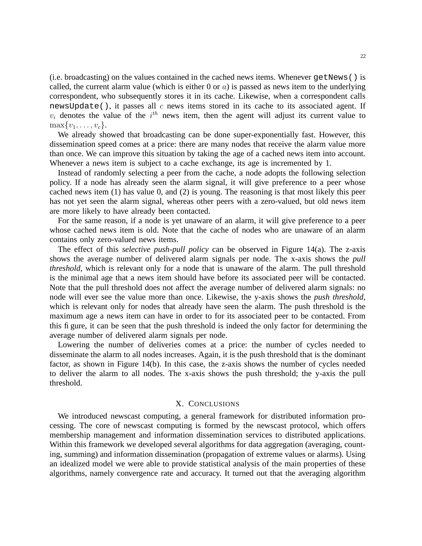(i.e. broadcasting) on the values contained in the cached news items. Whenever  $q$ etNews() is called, the current alarm value (which is either 0 or  $a$ ) is passed as news item to the underlying correspondent, who subsequently stores it in its cache. Likewise, when a correspondent calls newsUpdate(), it passes all  $c$  news items stored in its cache to its associated agent. If  $v_i$  denotes the value of the  $i^{th}$  news item, then the agent will adjust its current value to  $\max\{v_1, \ldots, v_c\}.$ 

We already showed that broadcasting can be done super-exponentially fast. However, this dissemination speed comes at a price: there are many nodes that receive the alarm value more than once. We can improve this situation by taking the age of a cached news item into account. Whenever a news item is subject to a cache exchange, its age is incremented by 1.

Instead of randomly selecting a peer from the cache, a node adopts the following selection policy. If a node has already seen the alarm signal, it will give preference to a peer whose cached news item (1) has value 0, and (2) is young. The reasoning is that most likely this peer has not yet seen the alarm signal, whereas other peers with a zero-valued, but old news item are more likely to have already been contacted.

For the same reason, if a node is yet unaware of an alarm, it will give preference to a peer whose cached news item is old. Note that the cache of nodes who are unaware of an alarm contains only zero-valued news items.

The effect of this *selective push-pull policy* can be observed in Figure 14(a). The z-axis shows the average number of delivered alarm signals per node. The x-axis shows the *pull threshold*, which is relevant only for a node that is unaware of the alarm. The pull threshold is the minimal age that a news item should have before its associated peer will be contacted. Note that the pull threshold does not affect the average number of delivered alarm signals: no node will ever see the value more than once. Likewise, the y-axis shows the *push threshold*, which is relevant only for nodes that already have seen the alarm. The push threshold is the maximum age a news item can have in order to for its associated peer to be contacted. From this figure, it can be seen that the push threshold is indeed the only factor for determining the average number of delivered alarm signals per node.

Lowering the number of deliveries comes at a price: the number of cycles needed to disseminate the alarm to all nodes increases. Again, it is the push threshold that is the dominant factor, as shown in Figure 14(b). In this case, the z-axis shows the number of cycles needed to deliver the alarm to all nodes. The x-axis shows the push threshold; the y-axis the pull threshold.

# X. CONCLUSIONS

We introduced newscast computing, a general framework for distributed information processing. The core of newscast computing is formed by the newscast protocol, which offers membership management and information dissemination services to distributed applications. Within this framework we developed several algorithms for data aggregation (averaging, counting, summing) and information dissemination (propagation of extreme values or alarms). Using an idealized model we were able to provide statistical analysis of the main properties of these algorithms, namely convergence rate and accuracy. It turned out that the averaging algorithm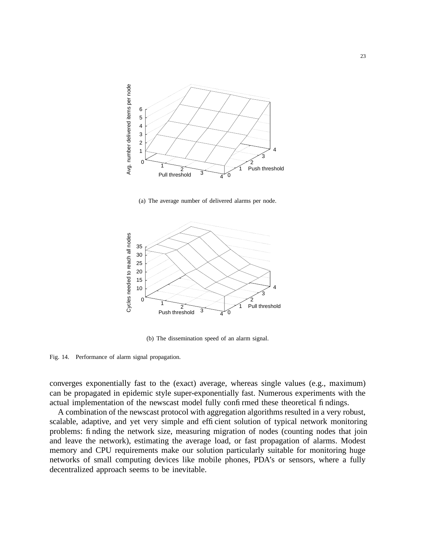

(a) The average number of delivered alarms per node.



(b) The dissemination speed of an alarm signal.

Fig. 14. Performance of alarm signal propagation.

converges exponentially fast to the (exact) average, whereas single values (e.g., maximum) can be propagated in epidemic style super-exponentially fast. Numerous experiments with the actual implementation of the newscast model fully confirmed these theoretical findings.

A combination of the newscast protocol with aggregation algorithms resulted in a very robust, scalable, adaptive, and yet very simple and efficient solution of typical network monitoring problems: finding the network size, measuring migration of nodes (counting nodes that join and leave the network), estimating the average load, or fast propagation of alarms. Modest memory and CPU requirements make our solution particularly suitable for monitoring huge networks of small computing devices like mobile phones, PDA's or sensors, where a fully decentralized approach seems to be inevitable.